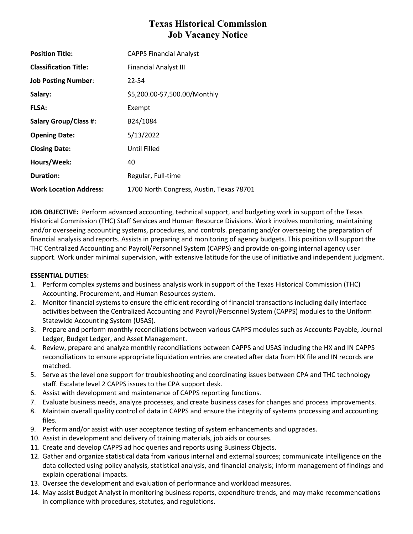# **Texas Historical Commission Job Vacancy Notice**

| <b>Position Title:</b>        | <b>CAPPS Financial Analyst</b>           |
|-------------------------------|------------------------------------------|
| <b>Classification Title:</b>  | <b>Financial Analyst III</b>             |
| <b>Job Posting Number:</b>    | 22-54                                    |
| Salary:                       | \$5,200.00-\$7,500.00/Monthly            |
| <b>FLSA:</b>                  | Exempt                                   |
| <b>Salary Group/Class #:</b>  | B24/1084                                 |
| <b>Opening Date:</b>          | 5/13/2022                                |
| <b>Closing Date:</b>          | Until Filled                             |
| Hours/Week:                   | 40                                       |
| <b>Duration:</b>              | Regular, Full-time                       |
| <b>Work Location Address:</b> | 1700 North Congress, Austin, Texas 78701 |

**JOB OBJECTIVE:** Perform advanced accounting, technical support, and budgeting work in support of the Texas Historical Commission (THC) Staff Services and Human Resource Divisions. Work involves monitoring, maintaining and/or overseeing accounting systems, procedures, and controls. preparing and/or overseeing the preparation of financial analysis and reports. Assists in preparing and monitoring of agency budgets. This position will support the THC Centralized Accounting and Payroll/Personnel System (CAPPS) and provide on-going internal agency user support. Work under minimal supervision, with extensive latitude for the use of initiative and independent judgment.

## **ESSENTIAL DUTIES:**

- 1. Perform complex systems and business analysis work in support of the Texas Historical Commission (THC) Accounting, Procurement, and Human Resources system.
- 2. Monitor financial systems to ensure the efficient recording of financial transactions including daily interface activities between the Centralized Accounting and Payroll/Personnel System (CAPPS) modules to the Uniform Statewide Accounting System (USAS).
- 3. Prepare and perform monthly reconciliations between various CAPPS modules such as Accounts Payable, Journal Ledger, Budget Ledger, and Asset Management.
- 4. Review, prepare and analyze monthly reconciliations between CAPPS and USAS including the HX and IN CAPPS reconciliations to ensure appropriate liquidation entries are created after data from HX file and IN records are matched.
- 5. Serve as the level one support for troubleshooting and coordinating issues between CPA and THC technology staff. Escalate level 2 CAPPS issues to the CPA support desk.
- 6. Assist with development and maintenance of CAPPS reporting functions.
- 7. Evaluate business needs, analyze processes, and create business cases for changes and process improvements.
- 8. Maintain overall quality control of data in CAPPS and ensure the integrity of systems processing and accounting files.
- 9. Perform and/or assist with user acceptance testing of system enhancements and upgrades.
- 10. Assist in development and delivery of training materials, job aids or courses.
- 11. Create and develop CAPPS ad hoc queries and reports using Business Objects.
- 12. Gather and organize statistical data from various internal and external sources; communicate intelligence on the data collected using policy analysis, statistical analysis, and financial analysis; inform management of findings and explain operational impacts.
- 13. Oversee the development and evaluation of performance and workload measures.
- 14. May assist Budget Analyst in monitoring business reports, expenditure trends, and may make recommendations in compliance with procedures, statutes, and regulations.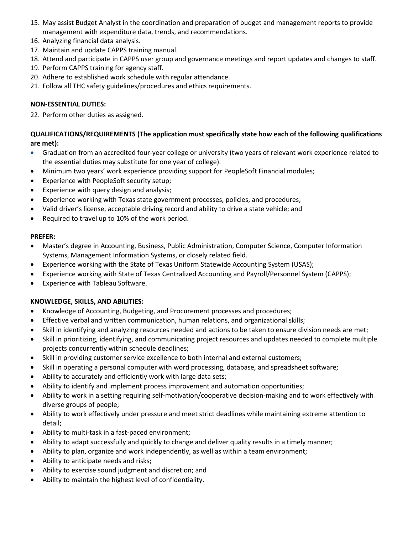- 15. May assist Budget Analyst in the coordination and preparation of budget and management reports to provide management with expenditure data, trends, and recommendations.
- 16. Analyzing financial data analysis.
- 17. Maintain and update CAPPS training manual.
- 18. Attend and participate in CAPPS user group and governance meetings and report updates and changes to staff.
- 19. Perform CAPPS training for agency staff.
- 20. Adhere to established work schedule with regular attendance.
- 21. Follow all THC safety guidelines/procedures and ethics requirements.

# **NON-ESSENTIAL DUTIES:**

22. Perform other duties as assigned.

# **QUALIFICATIONS/REQUIREMENTS (The application must specifically state how each of the following qualifications are met):**

- Graduation from an accredited four-year college or university (two years of relevant work experience related to the essential duties may substitute for one year of college).
- Minimum two years' work experience providing support for PeopleSoft Financial modules;
- Experience with PeopleSoft security setup;
- Experience with query design and analysis;
- Experience working with Texas state government processes, policies, and procedures;
- Valid driver's license, acceptable driving record and ability to drive a state vehicle; and
- Required to travel up to 10% of the work period.

## **PREFER:**

- Master's degree in Accounting, Business, Public Administration, Computer Science, Computer Information Systems, Management Information Systems, or closely related field.
- Experience working with the State of Texas Uniform Statewide Accounting System (USAS);
- Experience working with State of Texas Centralized Accounting and Payroll/Personnel System (CAPPS);
- Experience with Tableau Software.

## **KNOWLEDGE, SKILLS, AND ABILITIES:**

- Knowledge of Accounting, Budgeting, and Procurement processes and procedures;
- Effective verbal and written communication, human relations, and organizational skills;
- Skill in identifying and analyzing resources needed and actions to be taken to ensure division needs are met;
- Skill in prioritizing, identifying, and communicating project resources and updates needed to complete multiple projects concurrently within schedule deadlines;
- Skill in providing customer service excellence to both internal and external customers;
- Skill in operating a personal computer with word processing, database, and spreadsheet software;
- Ability to accurately and efficiently work with large data sets;
- Ability to identify and implement process improvement and automation opportunities;
- Ability to work in a setting requiring self-motivation/cooperative decision-making and to work effectively with diverse groups of people;
- Ability to work effectively under pressure and meet strict deadlines while maintaining extreme attention to detail;
- Ability to multi-task in a fast-paced environment;
- Ability to adapt successfully and quickly to change and deliver quality results in a timely manner;
- Ability to plan, organize and work independently, as well as within a team environment;
- Ability to anticipate needs and risks;
- Ability to exercise sound judgment and discretion; and
- Ability to maintain the highest level of confidentiality.